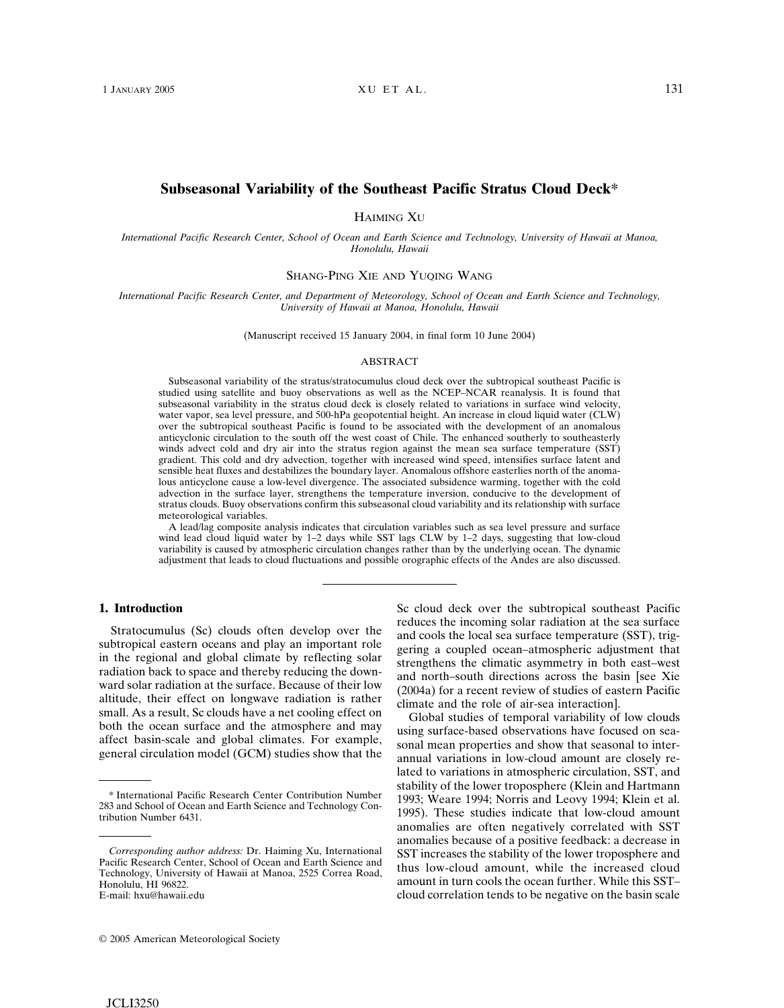# **Subseasonal Variability of the Southeast Pacific Stratus Cloud Deck\***

HAIMING XU

*International Pacific Research Center, School of Ocean and Earth Science and Technology, University of Hawaii at Manoa, Honolulu, Hawaii*

SHANG-PING XIE AND YUQING WANG

*International Pacific Research Center, and Department of Meteorology, School of Ocean and Earth Science and Technology, University of Hawaii at Manoa, Honolulu, Hawaii*

(Manuscript received 15 January 2004, in final form 10 June 2004)

### ABSTRACT

Subseasonal variability of the stratus/stratocumulus cloud deck over the subtropical southeast Pacific is studied using satellite and buoy observations as well as the NCEP–NCAR reanalysis. It is found that subseasonal variability in the stratus cloud deck is closely related to variations in surface wind velocity, water vapor, sea level pressure, and 500-hPa geopotential height. An increase in cloud liquid water (CLW) over the subtropical southeast Pacific is found to be associated with the development of an anomalous anticyclonic circulation to the south off the west coast of Chile. The enhanced southerly to southeasterly winds advect cold and dry air into the stratus region against the mean sea surface temperature (SST) gradient. This cold and dry advection, together with increased wind speed, intensifies surface latent and sensible heat fluxes and destabilizes the boundary layer. Anomalous offshore easterlies north of the anomalous anticyclone cause a low-level divergence. The associated subsidence warming, together with the cold advection in the surface layer, strengthens the temperature inversion, conducive to the development of stratus clouds. Buoy observations confirm this subseasonal cloud variability and its relationship with surface meteorological variables.

A lead/lag composite analysis indicates that circulation variables such as sea level pressure and surface wind lead cloud liquid water by 1–2 days while SST lags CLW by 1–2 days, suggesting that low-cloud variability is caused by atmospheric circulation changes rather than by the underlying ocean. The dynamic adjustment that leads to cloud fluctuations and possible orographic effects of the Andes are also discussed.

### **1. Introduction**

Stratocumulus (Sc) clouds often develop over the subtropical eastern oceans and play an important role in the regional and global climate by reflecting solar radiation back to space and thereby reducing the downward solar radiation at the surface. Because of their low altitude, their effect on longwave radiation is rather small. As a result, Sc clouds have a net cooling effect on both the ocean surface and the atmosphere and may affect basin-scale and global climates. For example, general circulation model (GCM) studies show that the

© 2005 American Meteorological Society

Sc cloud deck over the subtropical southeast Pacific reduces the incoming solar radiation at the sea surface and cools the local sea surface temperature (SST), triggering a coupled ocean–atmospheric adjustment that strengthens the climatic asymmetry in both east–west and north–south directions across the basin [see Xie (2004a) for a recent review of studies of eastern Pacific climate and the role of air-sea interaction].

Global studies of temporal variability of low clouds using surface-based observations have focused on seasonal mean properties and show that seasonal to interannual variations in low-cloud amount are closely related to variations in atmospheric circulation, SST, and stability of the lower troposphere (Klein and Hartmann 1993; Weare 1994; Norris and Leovy 1994; Klein et al. 1995). These studies indicate that low-cloud amount anomalies are often negatively correlated with SST anomalies because of a positive feedback: a decrease in SST increases the stability of the lower troposphere and thus low-cloud amount, while the increased cloud amount in turn cools the ocean further. While this SST– cloud correlation tends to be negative on the basin scale

<sup>\*</sup> International Pacific Research Center Contribution Number 283 and School of Ocean and Earth Science and Technology Contribution Number 6431.

*Corresponding author address:* Dr. Haiming Xu, International Pacific Research Center, School of Ocean and Earth Science and Technology, University of Hawaii at Manoa, 2525 Correa Road, Honolulu, HI 96822. E-mail: hxu@hawaii.edu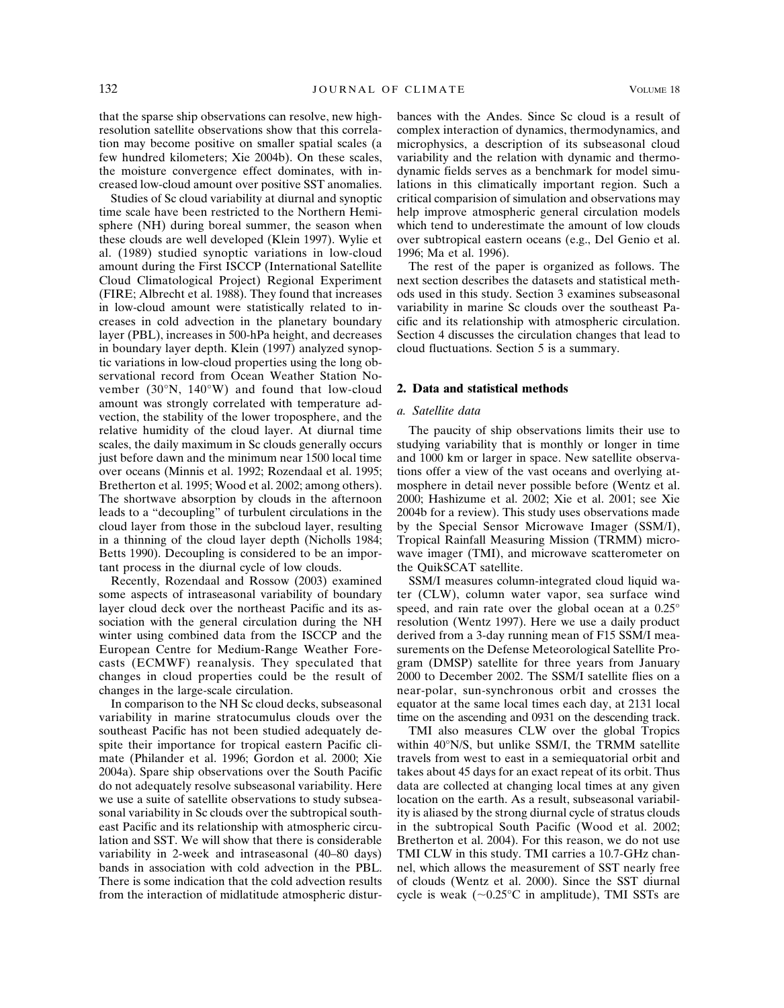that the sparse ship observations can resolve, new highresolution satellite observations show that this correlation may become positive on smaller spatial scales (a few hundred kilometers; Xie 2004b). On these scales, the moisture convergence effect dominates, with increased low-cloud amount over positive SST anomalies.

Studies of Sc cloud variability at diurnal and synoptic time scale have been restricted to the Northern Hemisphere (NH) during boreal summer, the season when these clouds are well developed (Klein 1997). Wylie et al. (1989) studied synoptic variations in low-cloud amount during the First ISCCP (International Satellite Cloud Climatological Project) Regional Experiment (FIRE; Albrecht et al. 1988). They found that increases in low-cloud amount were statistically related to increases in cold advection in the planetary boundary layer (PBL), increases in 500-hPa height, and decreases in boundary layer depth. Klein (1997) analyzed synoptic variations in low-cloud properties using the long observational record from Ocean Weather Station November (30°N, 140°W) and found that low-cloud amount was strongly correlated with temperature advection, the stability of the lower troposphere, and the relative humidity of the cloud layer. At diurnal time scales, the daily maximum in Sc clouds generally occurs just before dawn and the minimum near 1500 local time over oceans (Minnis et al. 1992; Rozendaal et al. 1995; Bretherton et al. 1995; Wood et al. 2002; among others). The shortwave absorption by clouds in the afternoon leads to a "decoupling" of turbulent circulations in the cloud layer from those in the subcloud layer, resulting in a thinning of the cloud layer depth (Nicholls 1984; Betts 1990). Decoupling is considered to be an important process in the diurnal cycle of low clouds.

Recently, Rozendaal and Rossow (2003) examined some aspects of intraseasonal variability of boundary layer cloud deck over the northeast Pacific and its association with the general circulation during the NH winter using combined data from the ISCCP and the European Centre for Medium-Range Weather Forecasts (ECMWF) reanalysis. They speculated that changes in cloud properties could be the result of changes in the large-scale circulation.

In comparison to the NH Sc cloud decks, subseasonal variability in marine stratocumulus clouds over the southeast Pacific has not been studied adequately despite their importance for tropical eastern Pacific climate (Philander et al. 1996; Gordon et al. 2000; Xie 2004a). Spare ship observations over the South Pacific do not adequately resolve subseasonal variability. Here we use a suite of satellite observations to study subseasonal variability in Sc clouds over the subtropical southeast Pacific and its relationship with atmospheric circulation and SST. We will show that there is considerable variability in 2-week and intraseasonal (40–80 days) bands in association with cold advection in the PBL. There is some indication that the cold advection results from the interaction of midlatitude atmospheric disturbances with the Andes. Since Sc cloud is a result of complex interaction of dynamics, thermodynamics, and microphysics, a description of its subseasonal cloud variability and the relation with dynamic and thermodynamic fields serves as a benchmark for model simulations in this climatically important region. Such a critical comparision of simulation and observations may help improve atmospheric general circulation models which tend to underestimate the amount of low clouds over subtropical eastern oceans (e.g., Del Genio et al. 1996; Ma et al. 1996).

The rest of the paper is organized as follows. The next section describes the datasets and statistical methods used in this study. Section 3 examines subseasonal variability in marine Sc clouds over the southeast Pacific and its relationship with atmospheric circulation. Section 4 discusses the circulation changes that lead to cloud fluctuations. Section 5 is a summary.

### **2. Data and statistical methods**

### *a. Satellite data*

The paucity of ship observations limits their use to studying variability that is monthly or longer in time and 1000 km or larger in space. New satellite observations offer a view of the vast oceans and overlying atmosphere in detail never possible before (Wentz et al. 2000; Hashizume et al. 2002; Xie et al. 2001; see Xie 2004b for a review). This study uses observations made by the Special Sensor Microwave Imager (SSM/I), Tropical Rainfall Measuring Mission (TRMM) microwave imager (TMI), and microwave scatterometer on the QuikSCAT satellite.

SSM/I measures column-integrated cloud liquid water (CLW), column water vapor, sea surface wind speed, and rain rate over the global ocean at a 0.25° resolution (Wentz 1997). Here we use a daily product derived from a 3-day running mean of F15 SSM/I measurements on the Defense Meteorological Satellite Program (DMSP) satellite for three years from January 2000 to December 2002. The SSM/I satellite flies on a near-polar, sun-synchronous orbit and crosses the equator at the same local times each day, at 2131 local time on the ascending and 0931 on the descending track.

TMI also measures CLW over the global Tropics within 40°N/S, but unlike SSM/I, the TRMM satellite travels from west to east in a semiequatorial orbit and takes about 45 days for an exact repeat of its orbit. Thus data are collected at changing local times at any given location on the earth. As a result, subseasonal variability is aliased by the strong diurnal cycle of stratus clouds in the subtropical South Pacific (Wood et al. 2002; Bretherton et al. 2004). For this reason, we do not use TMI CLW in this study. TMI carries a 10.7-GHz channel, which allows the measurement of SST nearly free of clouds (Wentz et al. 2000). Since the SST diurnal cycle is weak  $(\sim 0.25$ °C in amplitude), TMI SSTs are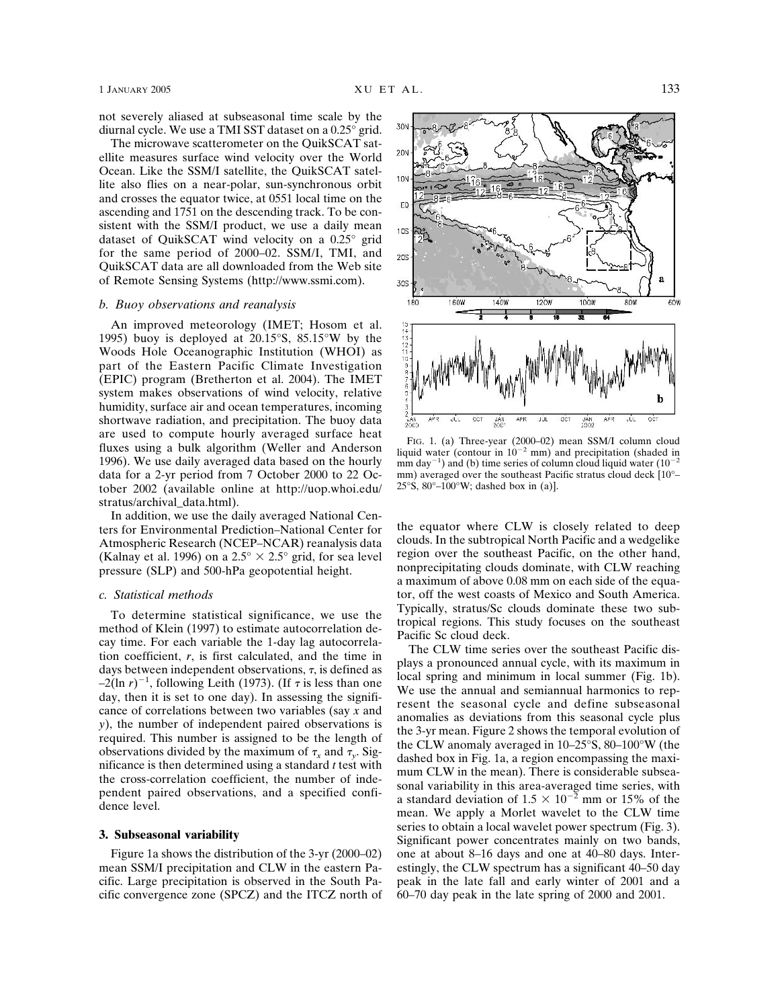not severely aliased at subseasonal time scale by the diurnal cycle. We use a TMI SST dataset on a 0.25° grid.

The microwave scatterometer on the QuikSCAT satellite measures surface wind velocity over the World Ocean. Like the SSM/I satellite, the QuikSCAT satellite also flies on a near-polar, sun-synchronous orbit and crosses the equator twice, at 0551 local time on the ascending and 1751 on the descending track. To be consistent with the SSM/I product, we use a daily mean dataset of QuikSCAT wind velocity on a 0.25° grid for the same period of 2000–02. SSM/I, TMI, and QuikSCAT data are all downloaded from the Web site of Remote Sensing Systems (http://www.ssmi.com).

### *b. Buoy observations and reanalysis*

An improved meteorology (IMET; Hosom et al. 1995) buoy is deployed at 20.15°S, 85.15°W by the Woods Hole Oceanographic Institution (WHOI) as part of the Eastern Pacific Climate Investigation (EPIC) program (Bretherton et al. 2004). The IMET system makes observations of wind velocity, relative humidity, surface air and ocean temperatures, incoming shortwave radiation, and precipitation. The buoy data are used to compute hourly averaged surface heat fluxes using a bulk algorithm (Weller and Anderson 1996). We use daily averaged data based on the hourly data for a 2-yr period from 7 October 2000 to 22 October 2002 (available online at http://uop.whoi.edu/ stratus/archival\_data.html).

In addition, we use the daily averaged National Centers for Environmental Prediction–National Center for Atmospheric Research (NCEP–NCAR) reanalysis data (Kalnay et al. 1996) on a 2.5°  $\times$  2.5° grid, for sea level pressure (SLP) and 500-hPa geopotential height.

#### *c. Statistical methods*

To determine statistical significance, we use the method of Klein (1997) to estimate autocorrelation decay time. For each variable the 1-day lag autocorrelation coefficient, *r*, is first calculated, and the time in days between independent observations,  $\tau$ , is defined as  $-2(\ln r)^{-1}$ , following Leith (1973). (If  $\tau$  is less than one day, then it is set to one day). In assessing the significance of correlations between two variables (say *x* and *y*), the number of independent paired observations is required. This number is assigned to be the length of observations divided by the maximum of  $\tau_r$  and  $\tau_v$ . Significance is then determined using a standard *t* test with the cross-correlation coefficient, the number of independent paired observations, and a specified confidence level.

#### **3. Subseasonal variability**

Figure 1a shows the distribution of the 3-yr (2000–02) mean SSM/I precipitation and CLW in the eastern Pacific. Large precipitation is observed in the South Pacific convergence zone (SPCZ) and the ITCZ north of



FIG. 1. (a) Three-year (2000–02) mean SSM/I column cloud liquid water (contour in  $10^{-2}$  mm) and precipitation (shaded in mm day<sup>-1</sup>) and (b) time series of column cloud liquid water  $(10^{-2}$ mm) averaged over the southeast Pacific stratus cloud deck [10°– 25°S,  $80^\circ$ –100°W; dashed box in (a)].

the equator where CLW is closely related to deep clouds. In the subtropical North Pacific and a wedgelike region over the southeast Pacific, on the other hand, nonprecipitating clouds dominate, with CLW reaching a maximum of above 0.08 mm on each side of the equator, off the west coasts of Mexico and South America. Typically, stratus/Sc clouds dominate these two subtropical regions. This study focuses on the southeast Pacific Sc cloud deck.

The CLW time series over the southeast Pacific displays a pronounced annual cycle, with its maximum in local spring and minimum in local summer (Fig. 1b). We use the annual and semiannual harmonics to represent the seasonal cycle and define subseasonal anomalies as deviations from this seasonal cycle plus the 3-yr mean. Figure 2 shows the temporal evolution of the CLW anomaly averaged in 10–25°S, 80–100°W (the dashed box in Fig. 1a, a region encompassing the maximum CLW in the mean). There is considerable subseasonal variability in this area-averaged time series, with a standard deviation of  $1.5 \times 10^{-2}$  mm or 15% of the mean. We apply a Morlet wavelet to the CLW time series to obtain a local wavelet power spectrum (Fig. 3). Significant power concentrates mainly on two bands, one at about 8–16 days and one at 40–80 days. Interestingly, the CLW spectrum has a significant 40–50 day peak in the late fall and early winter of 2001 and a 60–70 day peak in the late spring of 2000 and 2001.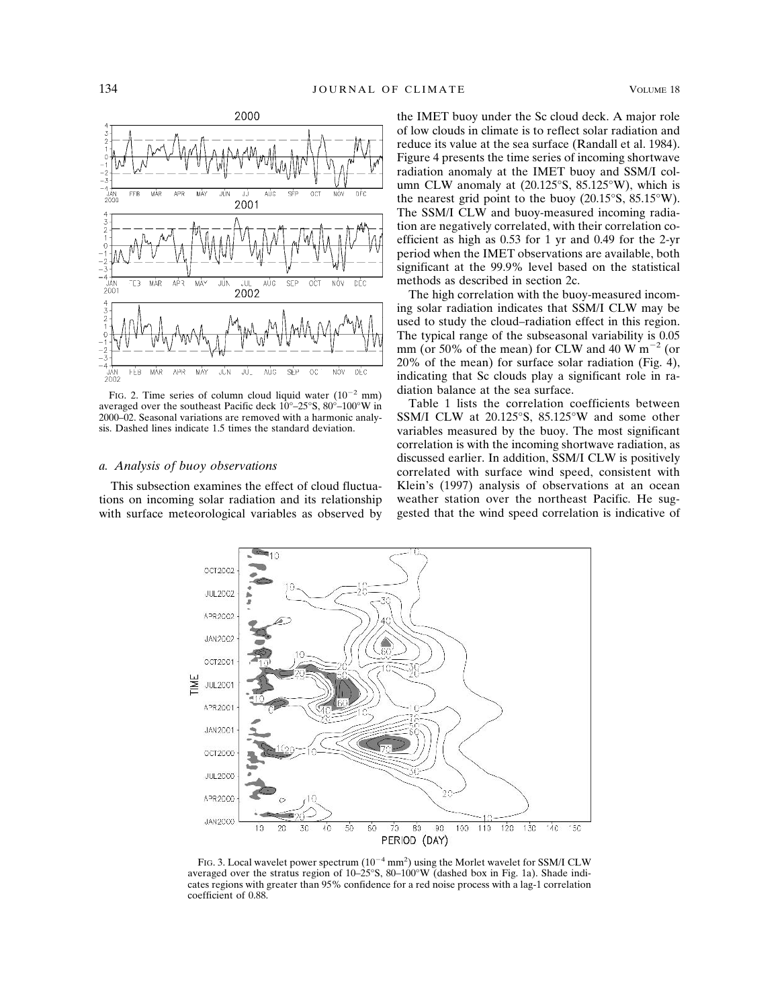

FIG. 2. Time series of column cloud liquid water  $(10^{-2} \text{ mm})$ averaged over the southeast Pacific deck 10°–25°S, 80°–100°W in 2000–02. Seasonal variations are removed with a harmonic analysis. Dashed lines indicate 1.5 times the standard deviation.

### *a. Analysis of buoy observations*

This subsection examines the effect of cloud fluctuations on incoming solar radiation and its relationship with surface meteorological variables as observed by the IMET buoy under the Sc cloud deck. A major role of low clouds in climate is to reflect solar radiation and reduce its value at the sea surface (Randall et al. 1984). Figure 4 presents the time series of incoming shortwave radiation anomaly at the IMET buoy and SSM/I column CLW anomaly at (20.125°S, 85.125°W), which is the nearest grid point to the buoy  $(20.15\textdegree S, 85.15\textdegree W)$ . The SSM/I CLW and buoy-measured incoming radiation are negatively correlated, with their correlation coefficient as high as 0.53 for 1 yr and 0.49 for the 2-yr period when the IMET observations are available, both significant at the 99.9% level based on the statistical methods as described in section 2c.

The high correlation with the buoy-measured incoming solar radiation indicates that SSM/I CLW may be used to study the cloud–radiation effect in this region. The typical range of the subseasonal variability is 0.05 mm (or 50% of the mean) for CLW and 40 W  $\text{m}^{-2}$  (or 20% of the mean) for surface solar radiation (Fig. 4), indicating that Sc clouds play a significant role in radiation balance at the sea surface.

Table 1 lists the correlation coefficients between SSM/I CLW at 20.125°S, 85.125°W and some other variables measured by the buoy. The most significant correlation is with the incoming shortwave radiation, as discussed earlier. In addition, SSM/I CLW is positively correlated with surface wind speed, consistent with Klein's (1997) analysis of observations at an ocean weather station over the northeast Pacific. He suggested that the wind speed correlation is indicative of



FIG. 3. Local wavelet power spectrum  $(10^{-4} \text{ mm}^2)$  using the Morlet wavelet for SSM/I CLW averaged over the stratus region of  $10-25^\circ$ S,  $80-100^\circ$ W (dashed box in Fig. 1a). Shade indicates regions with greater than 95% confidence for a red noise process with a lag-1 correlation coefficient of 0.88.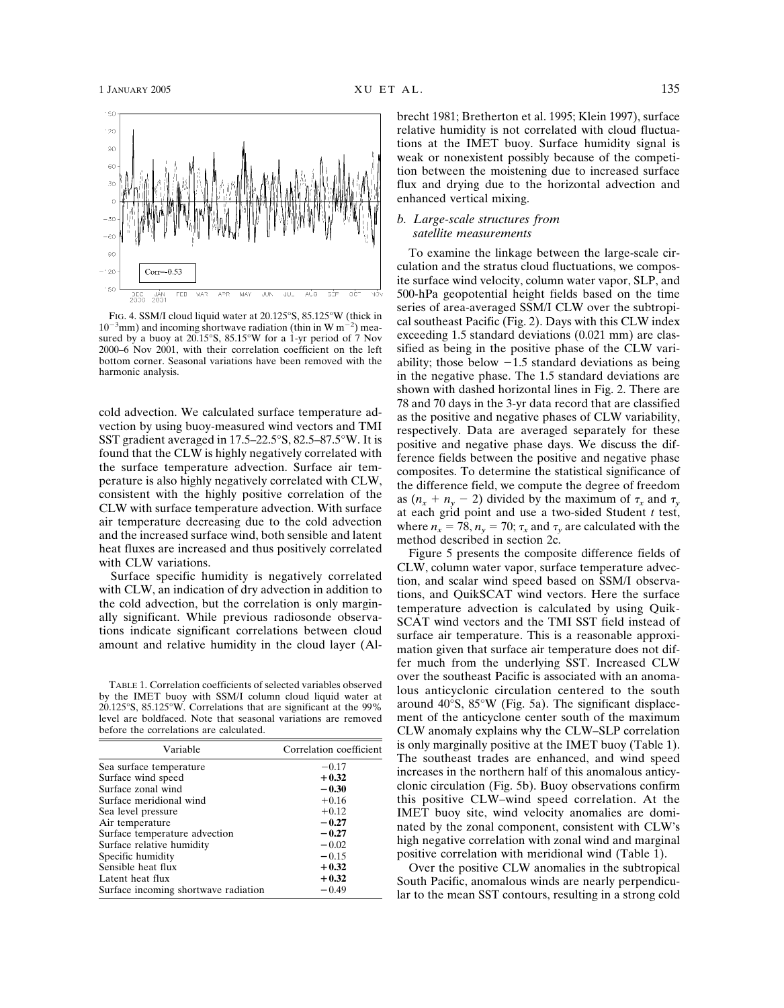

FIG. 4. SSM/I cloud liquid water at 20.125°S, 85.125°W (thick in  $10^{-3}$ mm) and incoming shortwave radiation (thin in W m<sup>-2</sup>) measured by a buoy at 20.15°S, 85.15°W for a 1-yr period of 7 Nov 2000–6 Nov 2001, with their correlation coefficient on the left bottom corner. Seasonal variations have been removed with the harmonic analysis.

cold advection. We calculated surface temperature advection by using buoy-measured wind vectors and TMI SST gradient averaged in 17.5–22.5°S, 82.5–87.5°W. It is found that the CLW is highly negatively correlated with the surface temperature advection. Surface air temperature is also highly negatively correlated with CLW, consistent with the highly positive correlation of the CLW with surface temperature advection. With surface air temperature decreasing due to the cold advection and the increased surface wind, both sensible and latent heat fluxes are increased and thus positively correlated with CLW variations.

Surface specific humidity is negatively correlated with CLW, an indication of dry advection in addition to the cold advection, but the correlation is only marginally significant. While previous radiosonde observations indicate significant correlations between cloud amount and relative humidity in the cloud layer (Al-

TABLE 1. Correlation coefficients of selected variables observed by the IMET buoy with SSM/I column cloud liquid water at 20.125°S, 85.125°W. Correlations that are significant at the 99% level are boldfaced. Note that seasonal variations are removed before the correlations are calculated.

| Variable                             | Correlation coefficient |
|--------------------------------------|-------------------------|
| Sea surface temperature              | $-0.17$                 |
| Surface wind speed                   | $+0.32$                 |
| Surface zonal wind                   | $-0.30$                 |
| Surface meridional wind              | $+0.16$                 |
| Sea level pressure                   | $+0.12$                 |
| Air temperature                      | $-0.27$                 |
| Surface temperature advection        | $-0.27$                 |
| Surface relative humidity            | $-0.02$                 |
| Specific humidity                    | $-0.15$                 |
| Sensible heat flux                   | $+0.32$                 |
| Latent heat flux                     | $+0.32$                 |
| Surface incoming shortwave radiation | $-0.49$                 |
|                                      |                         |

brecht 1981; Bretherton et al. 1995; Klein 1997), surface relative humidity is not correlated with cloud fluctuations at the IMET buoy. Surface humidity signal is weak or nonexistent possibly because of the competition between the moistening due to increased surface flux and drying due to the horizontal advection and enhanced vertical mixing.

### *b. Large-scale structures from satellite measurements*

To examine the linkage between the large-scale circulation and the stratus cloud fluctuations, we composite surface wind velocity, column water vapor, SLP, and 500-hPa geopotential height fields based on the time series of area-averaged SSM/I CLW over the subtropical southeast Pacific (Fig. 2). Days with this CLW index exceeding 1.5 standard deviations (0.021 mm) are classified as being in the positive phase of the CLW variability; those below  $-1.5$  standard deviations as being in the negative phase. The 1.5 standard deviations are shown with dashed horizontal lines in Fig. 2. There are 78 and 70 days in the 3-yr data record that are classified as the positive and negative phases of CLW variability, respectively. Data are averaged separately for these positive and negative phase days. We discuss the difference fields between the positive and negative phase composites. To determine the statistical significance of the difference field, we compute the degree of freedom as  $(n_x + n_y - 2)$  divided by the maximum of  $\tau_x$  and  $\tau_y$ at each grid point and use a two-sided Student *t* test, where  $n_r = 78$ ,  $n_v = 70$ ;  $\tau_r$  and  $\tau_v$  are calculated with the method described in section 2c.

Figure 5 presents the composite difference fields of CLW, column water vapor, surface temperature advection, and scalar wind speed based on SSM/I observations, and QuikSCAT wind vectors. Here the surface temperature advection is calculated by using Quik-SCAT wind vectors and the TMI SST field instead of surface air temperature. This is a reasonable approximation given that surface air temperature does not differ much from the underlying SST. Increased CLW over the southeast Pacific is associated with an anomalous anticyclonic circulation centered to the south around 40°S, 85°W (Fig. 5a). The significant displacement of the anticyclone center south of the maximum CLW anomaly explains why the CLW–SLP correlation is only marginally positive at the IMET buoy (Table 1). The southeast trades are enhanced, and wind speed increases in the northern half of this anomalous anticyclonic circulation (Fig. 5b). Buoy observations confirm this positive CLW–wind speed correlation. At the IMET buoy site, wind velocity anomalies are dominated by the zonal component, consistent with CLW's high negative correlation with zonal wind and marginal positive correlation with meridional wind (Table 1).

Over the positive CLW anomalies in the subtropical South Pacific, anomalous winds are nearly perpendicular to the mean SST contours, resulting in a strong cold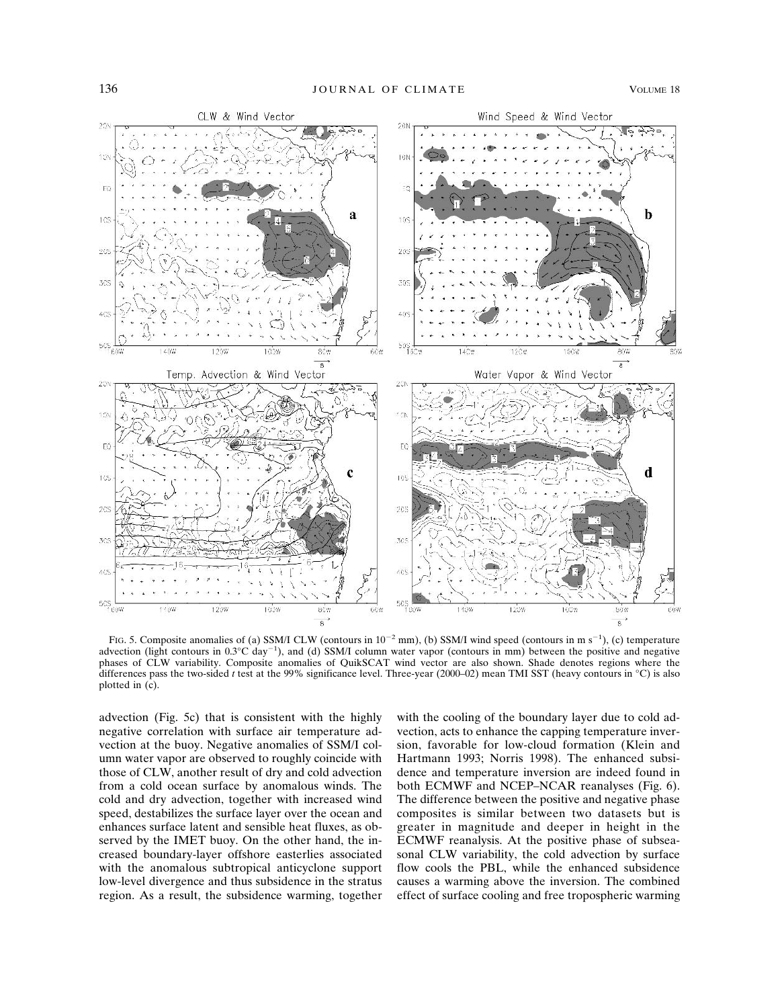

FIG. 5. Composite anomalies of (a) SSM/I CLW (contours in  $10^{-2}$  mm), (b) SSM/I wind speed (contours in m s<sup>-1</sup>), (c) temperature advection (light contours in  $0.3^{\circ}$ C day<sup>-1</sup>), and (d) SSM/I column water vapor (contours in mm) between the positive and negative phases of CLW variability. Composite anomalies of QuikSCAT wind vector are also shown. Shade denotes regions where the differences pass the two-sided *t* test at the 99% significance level. Three-year (2000–02) mean TMI SST (heavy contours in °C) is also plotted in (c).

advection (Fig. 5c) that is consistent with the highly negative correlation with surface air temperature advection at the buoy. Negative anomalies of SSM/I column water vapor are observed to roughly coincide with those of CLW, another result of dry and cold advection from a cold ocean surface by anomalous winds. The cold and dry advection, together with increased wind speed, destabilizes the surface layer over the ocean and enhances surface latent and sensible heat fluxes, as observed by the IMET buoy. On the other hand, the increased boundary-layer offshore easterlies associated with the anomalous subtropical anticyclone support low-level divergence and thus subsidence in the stratus region. As a result, the subsidence warming, together

with the cooling of the boundary layer due to cold advection, acts to enhance the capping temperature inversion, favorable for low-cloud formation (Klein and Hartmann 1993; Norris 1998). The enhanced subsidence and temperature inversion are indeed found in both ECMWF and NCEP–NCAR reanalyses (Fig. 6). The difference between the positive and negative phase composites is similar between two datasets but is greater in magnitude and deeper in height in the ECMWF reanalysis. At the positive phase of subseasonal CLW variability, the cold advection by surface flow cools the PBL, while the enhanced subsidence causes a warming above the inversion. The combined effect of surface cooling and free tropospheric warming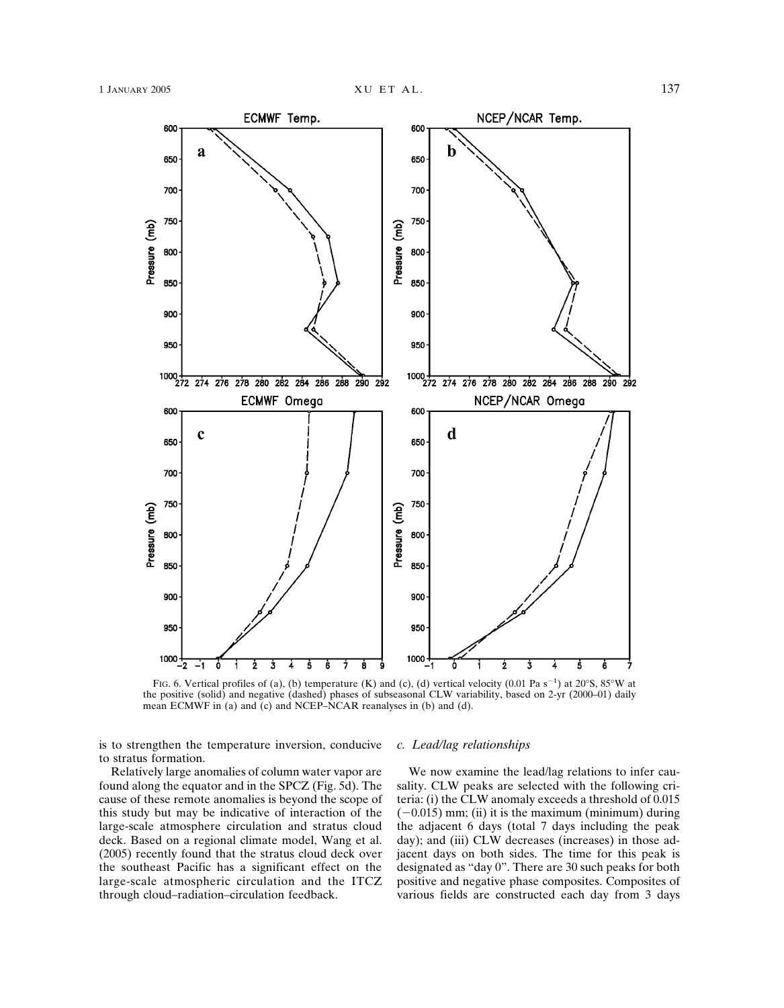

FIG. 6. Vertical profiles of (a), (b) temperature (K) and (c), (d) vertical velocity (0.01 Pa s<sup>-1</sup>) at 20 $\degree$ S, 85 $\degree$ W at the positive (solid) and negative (dashed) phases of subseasonal CLW variability, based on 2-yr (2000–01) daily mean ECMWF in (a) and (c) and NCEP–NCAR reanalyses in (b) and (d).

is to strengthen the temperature inversion, conducive to stratus formation.

Relatively large anomalies of column water vapor are found along the equator and in the SPCZ (Fig. 5d). The cause of these remote anomalies is beyond the scope of this study but may be indicative of interaction of the large-scale atmosphere circulation and stratus cloud deck. Based on a regional climate model, Wang et al. (2005) recently found that the stratus cloud deck over the southeast Pacific has a significant effect on the large-scale atmospheric circulation and the ITCZ through cloud–radiation–circulation feedback.

#### *c. Lead/lag relationships*

We now examine the lead/lag relations to infer causality. CLW peaks are selected with the following criteria: (i) the CLW anomaly exceeds a threshold of 0.015  $(-0.015)$  mm; (ii) it is the maximum (minimum) during the adjacent 6 days (total 7 days including the peak day); and (iii) CLW decreases (increases) in those adjacent days on both sides. The time for this peak is designated as "day 0". There are 30 such peaks for both positive and negative phase composites. Composites of various fields are constructed each day from 3 days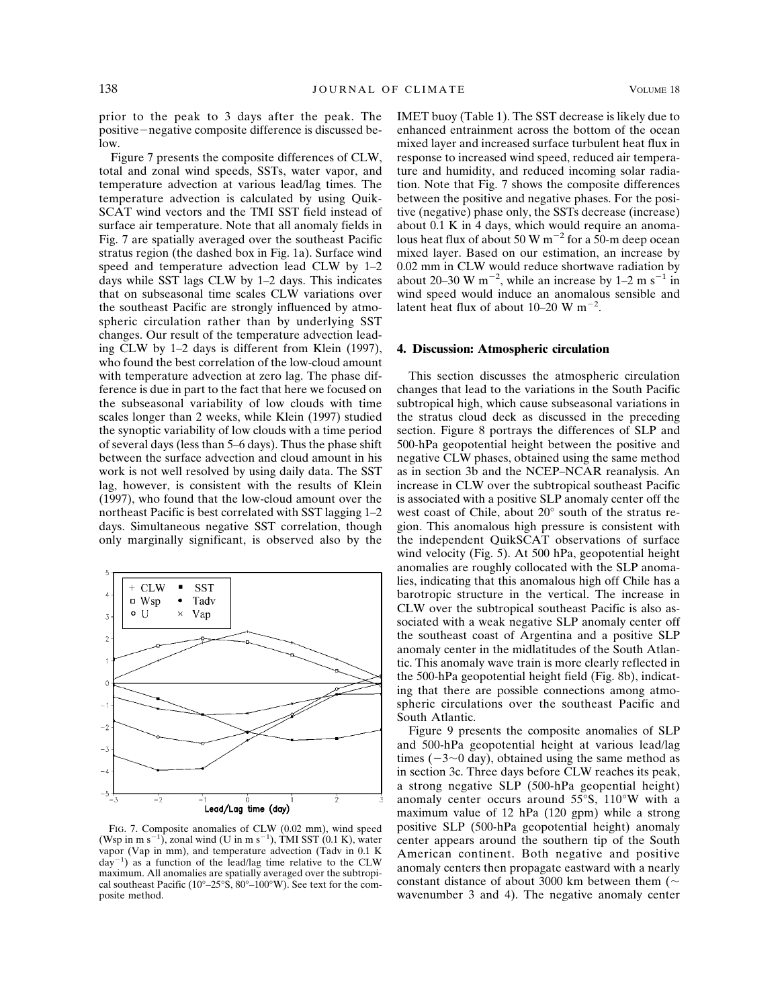prior to the peak to 3 days after the peak. The positive-negative composite difference is discussed be $low$ 

Figure 7 presents the composite differences of CLW, total and zonal wind speeds, SSTs, water vapor, and temperature advection at various lead/lag times. The temperature advection is calculated by using Quik-SCAT wind vectors and the TMI SST field instead of surface air temperature. Note that all anomaly fields in Fig. 7 are spatially averaged over the southeast Pacific stratus region (the dashed box in Fig. 1a). Surface wind speed and temperature advection lead CLW by 1–2 days while SST lags CLW by 1–2 days. This indicates that on subseasonal time scales CLW variations over the southeast Pacific are strongly influenced by atmospheric circulation rather than by underlying SST changes. Our result of the temperature advection leading CLW by 1–2 days is different from Klein (1997), who found the best correlation of the low-cloud amount with temperature advection at zero lag. The phase difference is due in part to the fact that here we focused on the subseasonal variability of low clouds with time scales longer than 2 weeks, while Klein (1997) studied the synoptic variability of low clouds with a time period of several days (less than 5–6 days). Thus the phase shift between the surface advection and cloud amount in his work is not well resolved by using daily data. The SST lag, however, is consistent with the results of Klein (1997), who found that the low-cloud amount over the northeast Pacific is best correlated with SST lagging 1–2 days. Simultaneous negative SST correlation, though only marginally significant, is observed also by the



FIG. 7. Composite anomalies of CLW (0.02 mm), wind speed (Wsp in m s<sup>-1</sup>), zonal wind (U in m s<sup>-1</sup>), TMI SST (0.1 K), water vapor (Vap in mm), and temperature advection (Tadv in 0.1 K  $day^{-1}$ ) as a function of the lead/lag time relative to the CLW maximum. All anomalies are spatially averaged over the subtropical southeast Pacific (10°–25°S, 80°–100°W). See text for the composite method.

IMET buoy (Table 1). The SST decrease is likely due to enhanced entrainment across the bottom of the ocean mixed layer and increased surface turbulent heat flux in response to increased wind speed, reduced air temperature and humidity, and reduced incoming solar radiation. Note that Fig. 7 shows the composite differences between the positive and negative phases. For the positive (negative) phase only, the SSTs decrease (increase) about 0.1 K in 4 days, which would require an anomalous heat flux of about 50 W  $\text{m}^{-2}$  for a 50-m deep ocean mixed layer. Based on our estimation, an increase by 0.02 mm in CLW would reduce shortwave radiation by about 20–30 W m<sup>-2</sup>, while an increase by 1–2 m s<sup>-1</sup> in wind speed would induce an anomalous sensible and latent heat flux of about  $10-20$  W m<sup>-2</sup>.

### **4. Discussion: Atmospheric circulation**

This section discusses the atmospheric circulation changes that lead to the variations in the South Pacific subtropical high, which cause subseasonal variations in the stratus cloud deck as discussed in the preceding section. Figure 8 portrays the differences of SLP and 500-hPa geopotential height between the positive and negative CLW phases, obtained using the same method as in section 3b and the NCEP–NCAR reanalysis. An increase in CLW over the subtropical southeast Pacific is associated with a positive SLP anomaly center off the west coast of Chile, about 20° south of the stratus region. This anomalous high pressure is consistent with the independent QuikSCAT observations of surface wind velocity (Fig. 5). At 500 hPa, geopotential height anomalies are roughly collocated with the SLP anomalies, indicating that this anomalous high off Chile has a barotropic structure in the vertical. The increase in CLW over the subtropical southeast Pacific is also associated with a weak negative SLP anomaly center off the southeast coast of Argentina and a positive SLP anomaly center in the midlatitudes of the South Atlantic. This anomaly wave train is more clearly reflected in the 500-hPa geopotential height field (Fig. 8b), indicating that there are possible connections among atmospheric circulations over the southeast Pacific and South Atlantic.

Figure 9 presents the composite anomalies of SLP and 500-hPa geopotential height at various lead/lag times  $(-3{\sim}0 \text{ day})$ , obtained using the same method as in section 3c. Three days before CLW reaches its peak, a strong negative SLP (500-hPa geopential height) anomaly center occurs around 55°S, 110°W with a maximum value of 12 hPa (120 gpm) while a strong positive SLP (500-hPa geopotential height) anomaly center appears around the southern tip of the South American continent. Both negative and positive anomaly centers then propagate eastward with a nearly constant distance of about 3000 km between them ( $\sim$ wavenumber 3 and 4). The negative anomaly center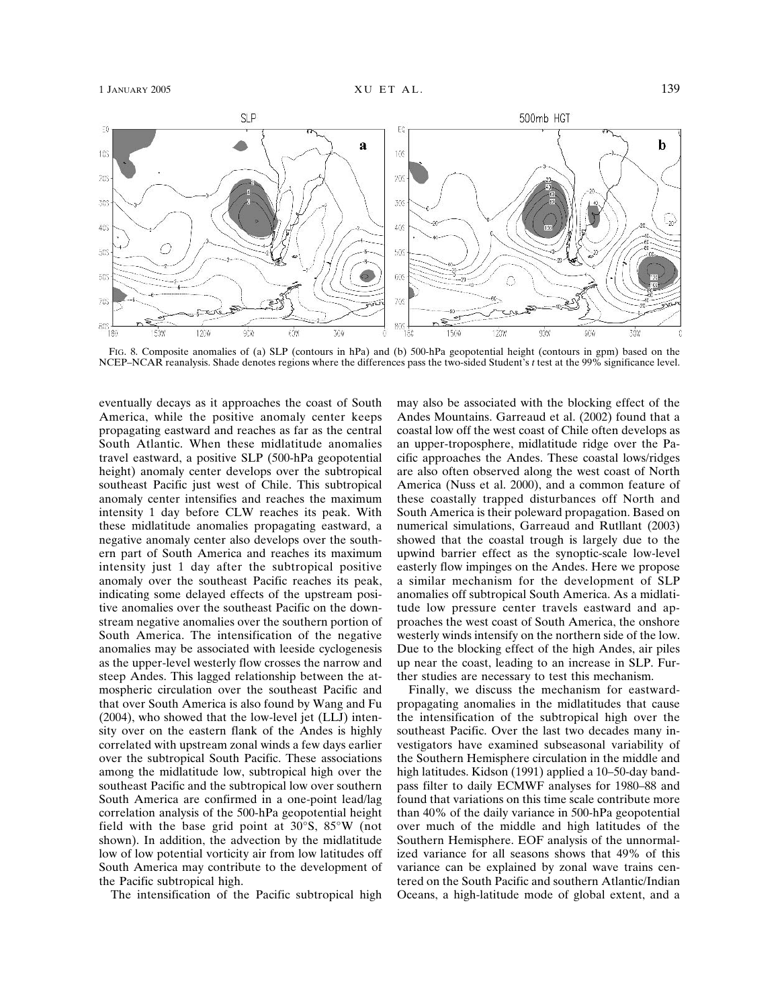

FIG. 8. Composite anomalies of (a) SLP (contours in hPa) and (b) 500-hPa geopotential height (contours in gpm) based on the NCEP–NCAR reanalysis. Shade denotes regions where the differences pass the two-sided Student's *t* test at the 99% significance level.

eventually decays as it approaches the coast of South America, while the positive anomaly center keeps propagating eastward and reaches as far as the central South Atlantic. When these midlatitude anomalies travel eastward, a positive SLP (500-hPa geopotential height) anomaly center develops over the subtropical southeast Pacific just west of Chile. This subtropical anomaly center intensifies and reaches the maximum intensity 1 day before CLW reaches its peak. With these midlatitude anomalies propagating eastward, a negative anomaly center also develops over the southern part of South America and reaches its maximum intensity just 1 day after the subtropical positive anomaly over the southeast Pacific reaches its peak, indicating some delayed effects of the upstream positive anomalies over the southeast Pacific on the downstream negative anomalies over the southern portion of South America. The intensification of the negative anomalies may be associated with leeside cyclogenesis as the upper-level westerly flow crosses the narrow and steep Andes. This lagged relationship between the atmospheric circulation over the southeast Pacific and that over South America is also found by Wang and Fu (2004), who showed that the low-level jet (LLJ) intensity over on the eastern flank of the Andes is highly correlated with upstream zonal winds a few days earlier over the subtropical South Pacific. These associations among the midlatitude low, subtropical high over the southeast Pacific and the subtropical low over southern South America are confirmed in a one-point lead/lag correlation analysis of the 500-hPa geopotential height field with the base grid point at 30°S, 85°W (not shown). In addition, the advection by the midlatitude low of low potential vorticity air from low latitudes off South America may contribute to the development of the Pacific subtropical high.

The intensification of the Pacific subtropical high

may also be associated with the blocking effect of the Andes Mountains. Garreaud et al. (2002) found that a coastal low off the west coast of Chile often develops as an upper-troposphere, midlatitude ridge over the Pacific approaches the Andes. These coastal lows/ridges are also often observed along the west coast of North America (Nuss et al. 2000), and a common feature of these coastally trapped disturbances off North and South America is their poleward propagation. Based on numerical simulations, Garreaud and Rutllant (2003) showed that the coastal trough is largely due to the upwind barrier effect as the synoptic-scale low-level easterly flow impinges on the Andes. Here we propose a similar mechanism for the development of SLP anomalies off subtropical South America. As a midlatitude low pressure center travels eastward and approaches the west coast of South America, the onshore westerly winds intensify on the northern side of the low. Due to the blocking effect of the high Andes, air piles up near the coast, leading to an increase in SLP. Further studies are necessary to test this mechanism.

Finally, we discuss the mechanism for eastwardpropagating anomalies in the midlatitudes that cause the intensification of the subtropical high over the southeast Pacific. Over the last two decades many investigators have examined subseasonal variability of the Southern Hemisphere circulation in the middle and high latitudes. Kidson (1991) applied a 10–50-day bandpass filter to daily ECMWF analyses for 1980–88 and found that variations on this time scale contribute more than 40% of the daily variance in 500-hPa geopotential over much of the middle and high latitudes of the Southern Hemisphere. EOF analysis of the unnormalized variance for all seasons shows that 49% of this variance can be explained by zonal wave trains centered on the South Pacific and southern Atlantic/Indian Oceans, a high-latitude mode of global extent, and a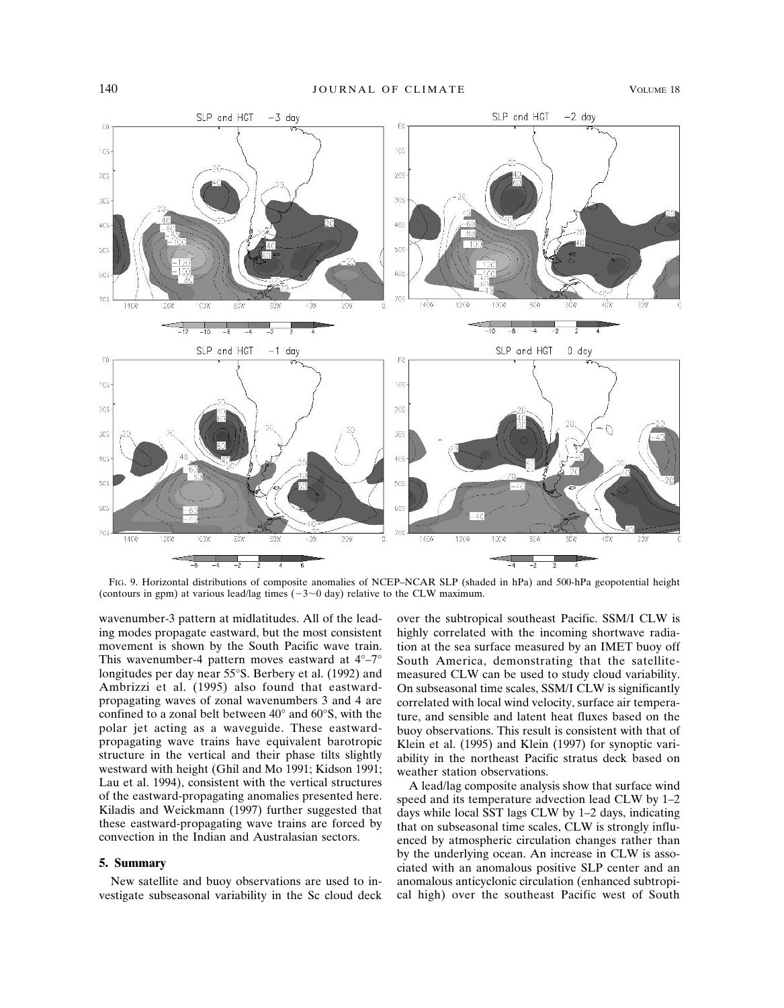

FIG. 9. Horizontal distributions of composite anomalies of NCEP–NCAR SLP (shaded in hPa) and 500-hPa geopotential height (contours in gpm) at various lead/lag times  $(-3{\sim}0$  day) relative to the CLW maximum.

wavenumber-3 pattern at midlatitudes. All of the leading modes propagate eastward, but the most consistent movement is shown by the South Pacific wave train. This wavenumber-4 pattern moves eastward at 4°–7° longitudes per day near 55°S. Berbery et al. (1992) and Ambrizzi et al. (1995) also found that eastwardpropagating waves of zonal wavenumbers 3 and 4 are confined to a zonal belt between 40° and 60°S, with the polar jet acting as a waveguide. These eastwardpropagating wave trains have equivalent barotropic structure in the vertical and their phase tilts slightly westward with height (Ghil and Mo 1991; Kidson 1991; Lau et al. 1994), consistent with the vertical structures of the eastward-propagating anomalies presented here. Kiladis and Weickmann (1997) further suggested that these eastward-propagating wave trains are forced by convection in the Indian and Australasian sectors.

## **5. Summary**

New satellite and buoy observations are used to investigate subseasonal variability in the Sc cloud deck over the subtropical southeast Pacific. SSM/I CLW is highly correlated with the incoming shortwave radiation at the sea surface measured by an IMET buoy off South America, demonstrating that the satellitemeasured CLW can be used to study cloud variability. On subseasonal time scales, SSM/I CLW is significantly correlated with local wind velocity, surface air temperature, and sensible and latent heat fluxes based on the buoy observations. This result is consistent with that of Klein et al. (1995) and Klein (1997) for synoptic variability in the northeast Pacific stratus deck based on weather station observations.

A lead/lag composite analysis show that surface wind speed and its temperature advection lead CLW by 1–2 days while local SST lags CLW by 1–2 days, indicating that on subseasonal time scales, CLW is strongly influenced by atmospheric circulation changes rather than by the underlying ocean. An increase in CLW is associated with an anomalous positive SLP center and an anomalous anticyclonic circulation (enhanced subtropical high) over the southeast Pacific west of South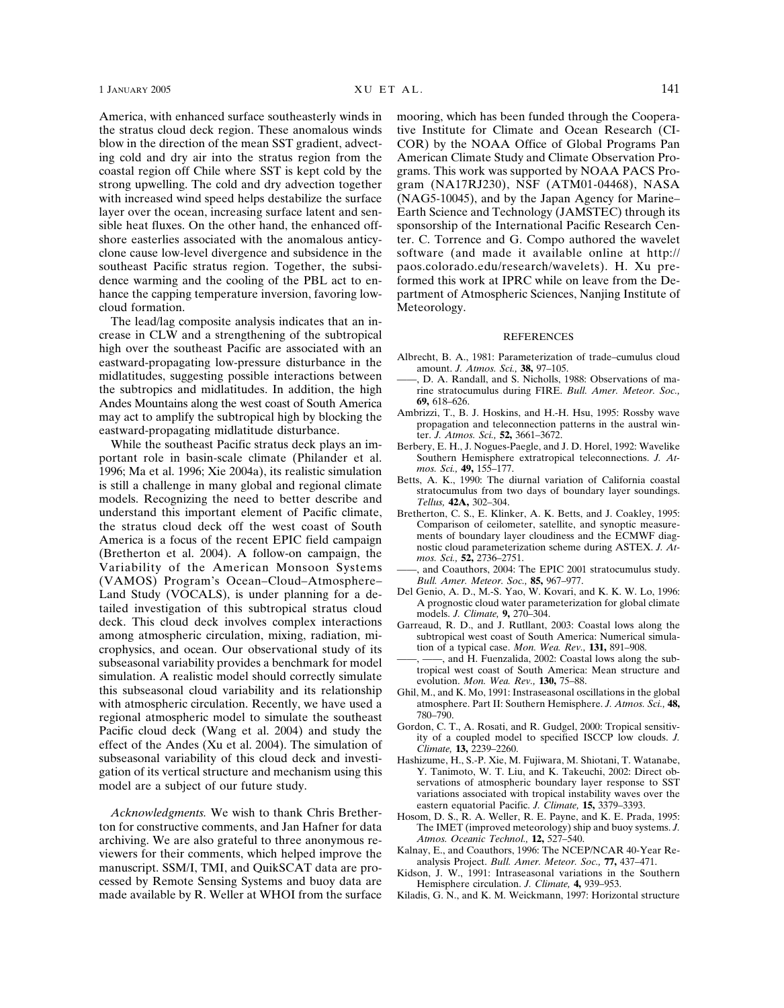America, with enhanced surface southeasterly winds in the stratus cloud deck region. These anomalous winds blow in the direction of the mean SST gradient, advecting cold and dry air into the stratus region from the coastal region off Chile where SST is kept cold by the strong upwelling. The cold and dry advection together with increased wind speed helps destabilize the surface layer over the ocean, increasing surface latent and sensible heat fluxes. On the other hand, the enhanced offshore easterlies associated with the anomalous anticyclone cause low-level divergence and subsidence in the southeast Pacific stratus region. Together, the subsidence warming and the cooling of the PBL act to enhance the capping temperature inversion, favoring lowcloud formation.

The lead/lag composite analysis indicates that an increase in CLW and a strengthening of the subtropical high over the southeast Pacific are associated with an eastward-propagating low-pressure disturbance in the midlatitudes, suggesting possible interactions between the subtropics and midlatitudes. In addition, the high Andes Mountains along the west coast of South America may act to amplify the subtropical high by blocking the eastward-propagating midlatitude disturbance.

While the southeast Pacific stratus deck plays an important role in basin-scale climate (Philander et al. 1996; Ma et al. 1996; Xie 2004a), its realistic simulation is still a challenge in many global and regional climate models. Recognizing the need to better describe and understand this important element of Pacific climate, the stratus cloud deck off the west coast of South America is a focus of the recent EPIC field campaign (Bretherton et al. 2004). A follow-on campaign, the Variability of the American Monsoon Systems (VAMOS) Program's Ocean–Cloud–Atmosphere– Land Study (VOCALS), is under planning for a detailed investigation of this subtropical stratus cloud deck. This cloud deck involves complex interactions among atmospheric circulation, mixing, radiation, microphysics, and ocean. Our observational study of its subseasonal variability provides a benchmark for model simulation. A realistic model should correctly simulate this subseasonal cloud variability and its relationship with atmospheric circulation. Recently, we have used a regional atmospheric model to simulate the southeast Pacific cloud deck (Wang et al. 2004) and study the effect of the Andes (Xu et al. 2004). The simulation of subseasonal variability of this cloud deck and investigation of its vertical structure and mechanism using this model are a subject of our future study.

*Acknowledgments.* We wish to thank Chris Bretherton for constructive comments, and Jan Hafner for data archiving. We are also grateful to three anonymous reviewers for their comments, which helped improve the manuscript. SSM/I, TMI, and QuikSCAT data are processed by Remote Sensing Systems and buoy data are made available by R. Weller at WHOI from the surface

mooring, which has been funded through the Cooperative Institute for Climate and Ocean Research (CI-COR) by the NOAA Office of Global Programs Pan American Climate Study and Climate Observation Programs. This work was supported by NOAA PACS Program (NA17RJ230), NSF (ATM01-04468), NASA (NAG5-10045), and by the Japan Agency for Marine– Earth Science and Technology (JAMSTEC) through its sponsorship of the International Pacific Research Center. C. Torrence and G. Compo authored the wavelet software (and made it available online at http:// paos.colorado.edu/research/wavelets). H. Xu preformed this work at IPRC while on leave from the Department of Atmospheric Sciences, Nanjing Institute of Meteorology.

#### REFERENCES

- Albrecht, B. A., 1981: Parameterization of trade–cumulus cloud amount. *J. Atmos. Sci.,* **38,** 97–105.
- ——, D. A. Randall, and S. Nicholls, 1988: Observations of marine stratocumulus during FIRE. *Bull. Amer. Meteor. Soc.,* **69,** 618–626.
- Ambrizzi, T., B. J. Hoskins, and H.-H. Hsu, 1995: Rossby wave propagation and teleconnection patterns in the austral winter. *J. Atmos. Sci.,* **52,** 3661–3672.
- Berbery, E. H., J. Nogues-Paegle, and J. D. Horel, 1992: Wavelike Southern Hemisphere extratropical teleconnections. *J. Atmos. Sci.,* **49,** 155–177.
- Betts, A. K., 1990: The diurnal variation of California coastal stratocumulus from two days of boundary layer soundings. *Tellus,* **42A,** 302–304.
- Bretherton, C. S., E. Klinker, A. K. Betts, and J. Coakley, 1995: Comparison of ceilometer, satellite, and synoptic measurements of boundary layer cloudiness and the ECMWF diagnostic cloud parameterization scheme during ASTEX. *J. Atmos. Sci.,* **52,** 2736–2751.
- ——, and Coauthors, 2004: The EPIC 2001 stratocumulus study. *Bull. Amer. Meteor. Soc.,* **85,** 967–977.
- Del Genio, A. D., M.-S. Yao, W. Kovari, and K. K. W. Lo, 1996: A prognostic cloud water parameterization for global climate models. *J. Climate,* **9,** 270–304.
- Garreaud, R. D., and J. Rutllant, 2003: Coastal lows along the subtropical west coast of South America: Numerical simulation of a typical case. *Mon. Wea. Rev.,* **131,** 891–908.
- -, and H. Fuenzalida, 2002: Coastal lows along the subtropical west coast of South America: Mean structure and evolution. *Mon. Wea. Rev.,* **130,** 75–88.
- Ghil, M., and K. Mo, 1991: Instraseasonal oscillations in the global atmosphere. Part II: Southern Hemisphere. *J. Atmos. Sci.,* **48,** 780–790.
- Gordon, C. T., A. Rosati, and R. Gudgel, 2000: Tropical sensitivity of a coupled model to specified ISCCP low clouds. *J. Climate,* **13,** 2239–2260.
- Hashizume, H., S.-P. Xie, M. Fujiwara, M. Shiotani, T. Watanabe, Y. Tanimoto, W. T. Liu, and K. Takeuchi, 2002: Direct observations of atmospheric boundary layer response to SST variations associated with tropical instability waves over the eastern equatorial Pacific. *J. Climate,* **15,** 3379–3393.
- Hosom, D. S., R. A. Weller, R. E. Payne, and K. E. Prada, 1995: The IMET (improved meteorology) ship and buoy systems. *J. Atmos. Oceanic Technol.,* **12,** 527–540.
- Kalnay, E., and Coauthors, 1996: The NCEP/NCAR 40-Year Reanalysis Project. *Bull. Amer. Meteor. Soc.,* **77,** 437–471.
- Kidson, J. W., 1991: Intraseasonal variations in the Southern Hemisphere circulation. *J. Climate,* **4,** 939–953.
- Kiladis, G. N., and K. M. Weickmann, 1997: Horizontal structure